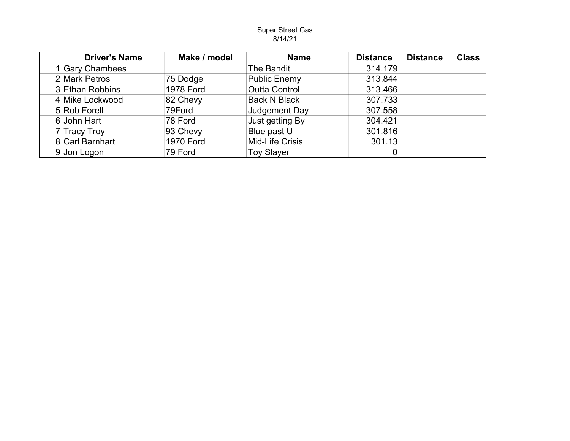## Super Street Gas 8/14/21

| <b>Driver's Name</b> | Make / model     | <b>Name</b>          | <b>Distance</b> | <b>Distance</b> | <b>Class</b> |
|----------------------|------------------|----------------------|-----------------|-----------------|--------------|
| 1 Gary Chambees      |                  | The Bandit           | 314.179         |                 |              |
| 2 Mark Petros        | 75 Dodge         | <b>Public Enemy</b>  | 313.844         |                 |              |
| 3 Ethan Robbins      | <b>1978 Ford</b> | <b>Outta Control</b> | 313.466         |                 |              |
| 4 Mike Lockwood      | 82 Chevy         | <b>Back N Black</b>  | 307.733         |                 |              |
| 5 Rob Forell         | 79Ford           | Judgement Day        | 307.558         |                 |              |
| 6 John Hart          | 78 Ford          | Just getting By      | 304.421         |                 |              |
| 7 Tracy Troy         | 93 Chevy         | Blue past U          | 301.816         |                 |              |
| 8 Carl Barnhart      | <b>1970 Ford</b> | Mid-Life Crisis      | 301.13          |                 |              |
| 9 Jon Logon          | 79 Ford          | <b>Toy Slayer</b>    |                 |                 |              |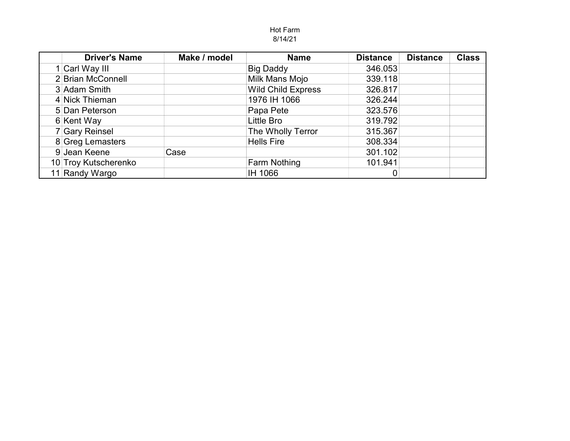## Hot Farm 8/14/21

| <b>Driver's Name</b> | Make / model | <b>Name</b>               | <b>Distance</b> | <b>Distance</b> | <b>Class</b> |
|----------------------|--------------|---------------------------|-----------------|-----------------|--------------|
| 1 Carl Way III       |              | <b>Big Daddy</b>          | 346.053         |                 |              |
| 2 Brian McConnell    |              | Milk Mans Mojo            | 339.118         |                 |              |
| 3 Adam Smith         |              | <b>Wild Child Express</b> | 326.817         |                 |              |
| 4 Nick Thieman       |              | 1976 IH 1066              | 326.244         |                 |              |
| 5 Dan Peterson       |              | Papa Pete                 | 323.576         |                 |              |
| 6 Kent Way           |              | Little Bro                | 319.792         |                 |              |
| 7 Gary Reinsel       |              | The Wholly Terror         | 315.367         |                 |              |
| 8 Greg Lemasters     |              | <b>Hells Fire</b>         | 308.334         |                 |              |
| 9 Jean Keene         | Case         |                           | 301.102         |                 |              |
| 10 Troy Kutscherenko |              | <b>Farm Nothing</b>       | 101.941         |                 |              |
| 11 Randy Wargo       |              | IH 1066                   |                 |                 |              |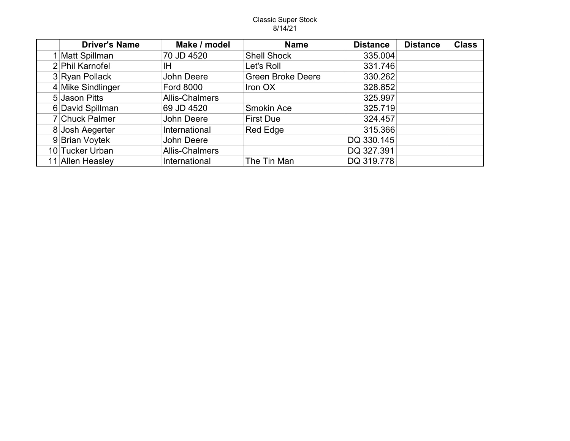## Classic Super Stock 8/14/21

| <b>Driver's Name</b> | Make / model          | <b>Name</b>              | <b>Distance</b> | <b>Distance</b> | <b>Class</b> |
|----------------------|-----------------------|--------------------------|-----------------|-----------------|--------------|
| 1 Matt Spillman      | 70 JD 4520            | <b>Shell Shock</b>       | 335.004         |                 |              |
| 2 Phil Karnofel      | ΙH                    | Let's Roll               | 331.746         |                 |              |
| 3 Ryan Pollack       | John Deere            | <b>Green Broke Deere</b> | 330.262         |                 |              |
| 4 Mike Sindlinger    | <b>Ford 8000</b>      | Iron OX                  | 328.852         |                 |              |
| 5 Jason Pitts        | <b>Allis-Chalmers</b> |                          | 325.997         |                 |              |
| 6 David Spillman     | 69 JD 4520            | <b>Smokin Ace</b>        | 325.719         |                 |              |
| 7 Chuck Palmer       | John Deere            | <b>First Due</b>         | 324.457         |                 |              |
| 8 Josh Aegerter      | International         | <b>Red Edge</b>          | 315.366         |                 |              |
| 9 Brian Voytek       | John Deere            |                          | DQ 330.145      |                 |              |
| 10 Tucker Urban      | <b>Allis-Chalmers</b> |                          | DQ 327.391      |                 |              |
| 11 Allen Heasley     | International         | The Tin Man              | DQ 319.778      |                 |              |